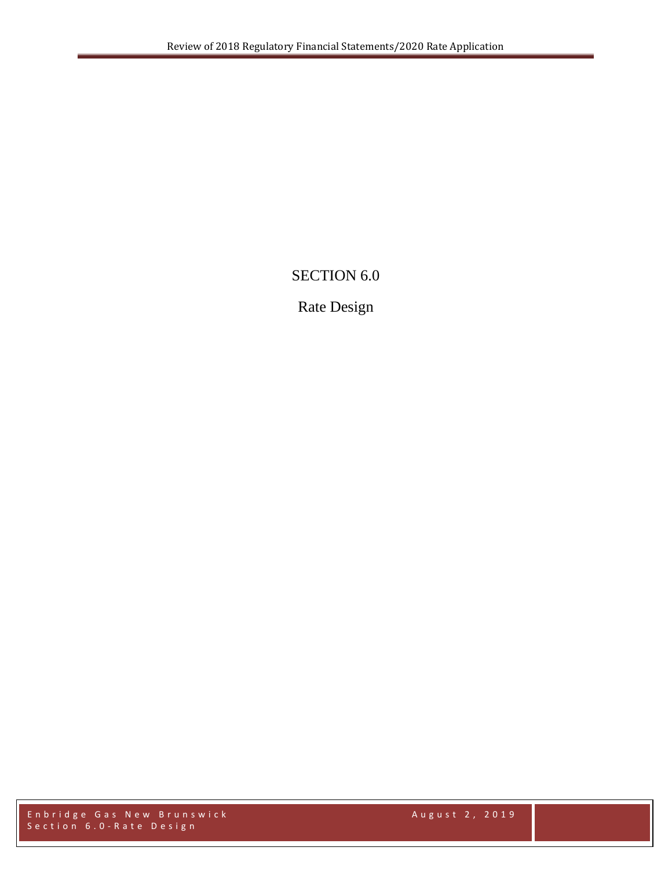## SECTION 6.0

## Rate Design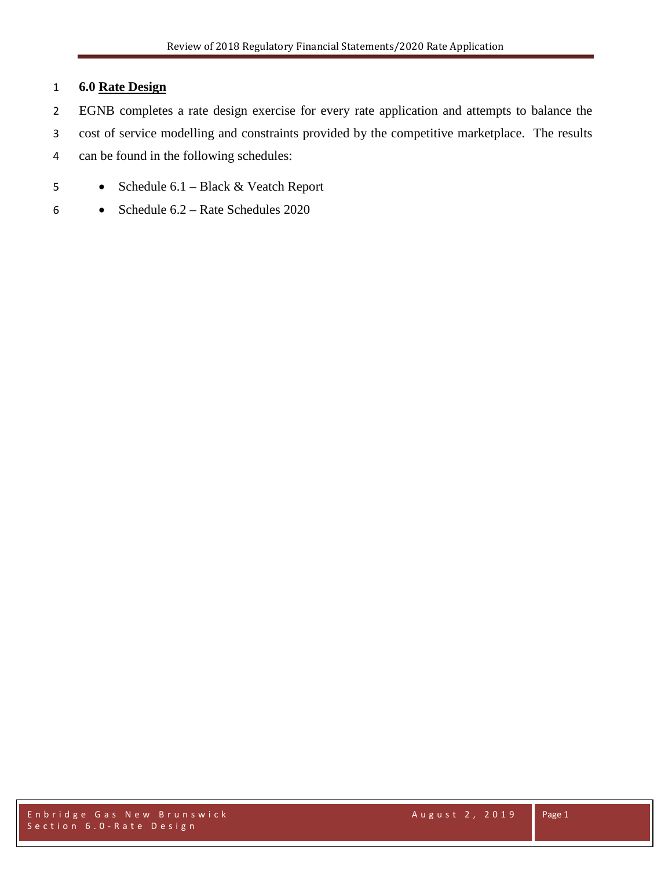## 1 **6.0 Rate Design**

- 2 EGNB completes a rate design exercise for every rate application and attempts to balance the
- 3 cost of service modelling and constraints provided by the competitive marketplace. The results
- 4 can be found in the following schedules:
- 5 Schedule 6.1 Black & Veatch Report
- 6 Schedule 6.2 Rate Schedules 2020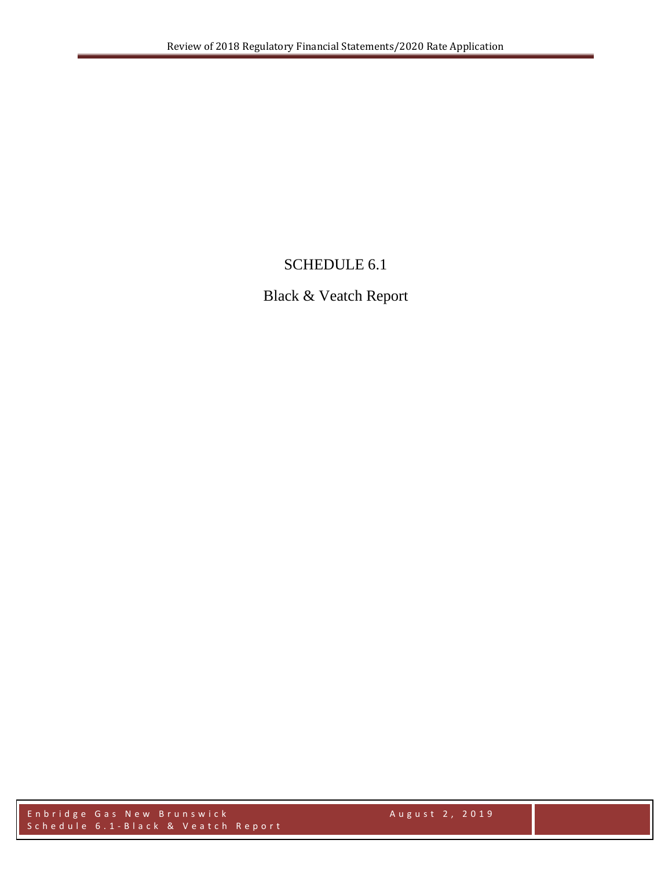## SCHEDULE 6.1

## Black & Veatch Report

Enbridge Gas New Brunswick August 2, 2019 Schedule 6 . 1 - Black & Veatch Report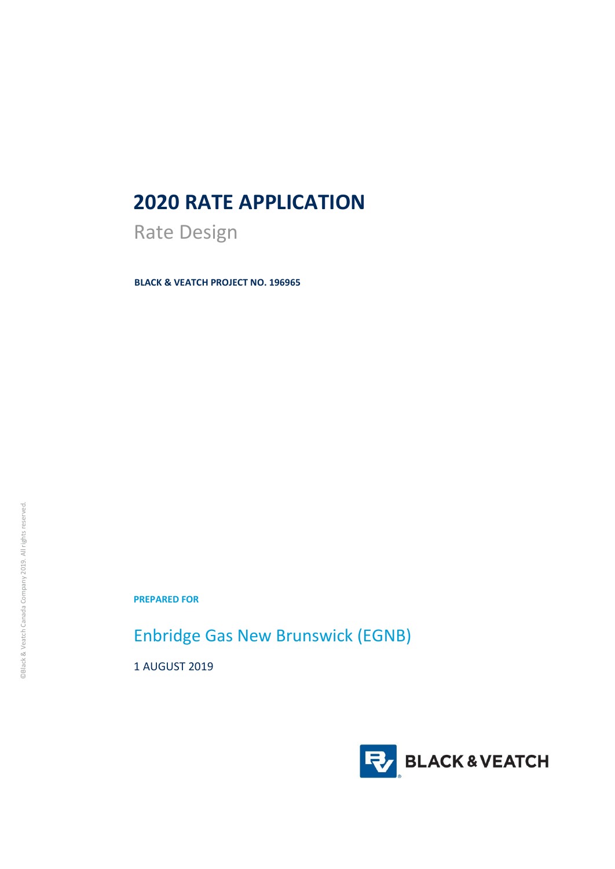# **2020 RATE APPLICATION**

Rate Design

**BLACK & VEATCH PROJECT NO. 196965**

**PREPARED FOR**

Enbridge Gas New Brunswick (EGNB)

1 AUGUST 2019

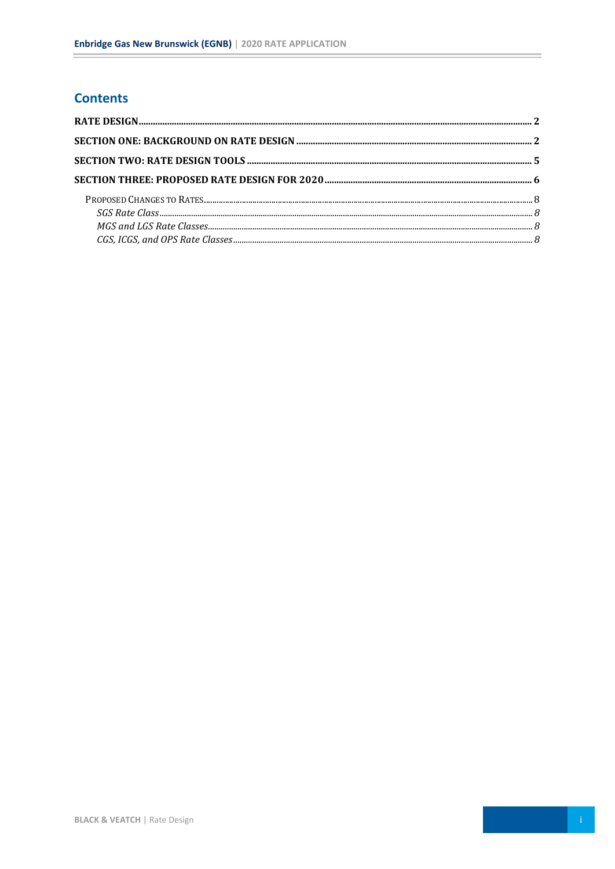## **Contents**

 $\equiv$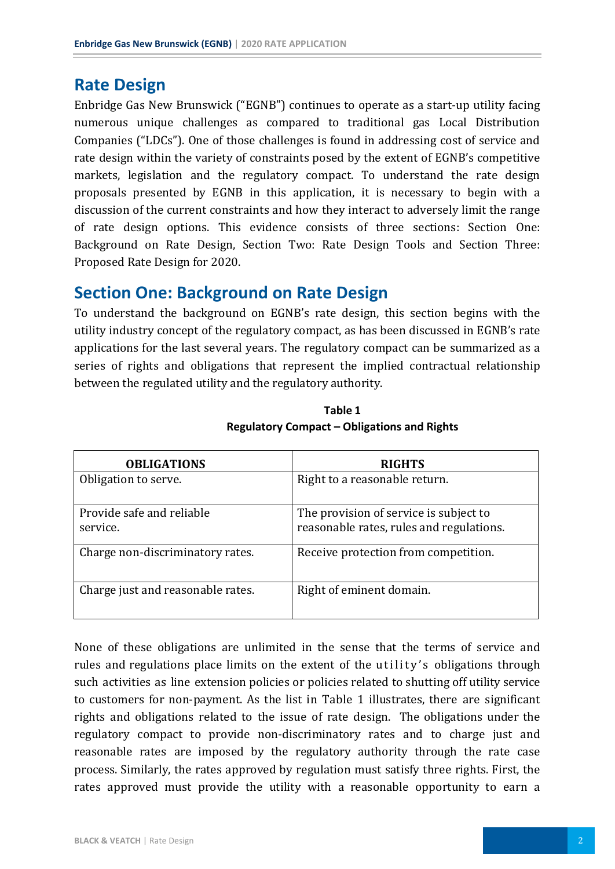## <span id="page-6-0"></span>**Rate Design**

Enbridge Gas New Brunswick ("EGNB") continues to operate as a start-up utility facing numerous unique challenges as compared to traditional gas Local Distribution Companies ("LDCs"). One of those challenges is found in addressing cost of service and rate design within the variety of constraints posed by the extent of EGNB's competitive markets, legislation and the regulatory compact. To understand the rate design proposals presented by EGNB in this application, it is necessary to begin with a discussion of the current constraints and how they interact to adversely limit the range of rate design options. This evidence consists of three sections: Section One: Background on Rate Design, Section Two: Rate Design Tools and Section Three: Proposed Rate Design for 2020.

## <span id="page-6-1"></span>**Section One: Background on Rate Design**

To understand the background on EGNB's rate design, this section begins with the utility industry concept of the regulatory compact, as has been discussed in EGNB's rate applications for the last several years. The regulatory compact can be summarized as a series of rights and obligations that represent the implied contractual relationship between the regulated utility and the regulatory authority.

| <b>OBLIGATIONS</b>                    | <b>RIGHTS</b>                                                                      |
|---------------------------------------|------------------------------------------------------------------------------------|
| Obligation to serve.                  | Right to a reasonable return.                                                      |
| Provide safe and reliable<br>service. | The provision of service is subject to<br>reasonable rates, rules and regulations. |
| Charge non-discriminatory rates.      | Receive protection from competition.                                               |
| Charge just and reasonable rates.     | Right of eminent domain.                                                           |

**Table 1 Regulatory Compact – Obligations and Rights**

None of these obligations are unlimited in the sense that the terms of service and rules and regulations place limits on the extent of the utility's obligations through such activities as line extension policies or policies related to shutting off utility service to customers for non-payment. As the list in Table 1 illustrates, there are significant rights and obligations related to the issue of rate design. The obligations under the regulatory compact to provide non-discriminatory rates and to charge just and reasonable rates are imposed by the regulatory authority through the rate case process. Similarly, the rates approved by regulation must satisfy three rights. First, the rates approved must provide the utility with a reasonable opportunity to earn a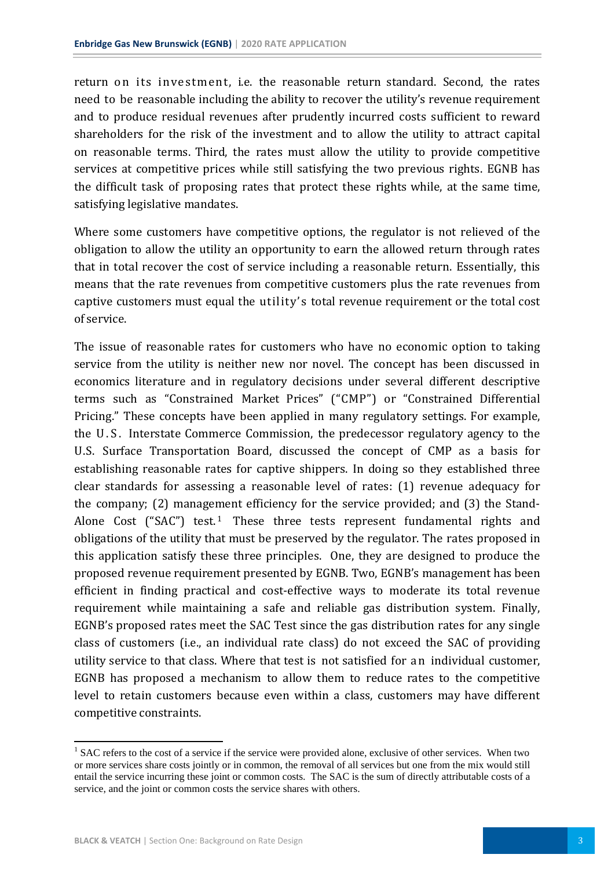return on its investment, i.e. the reasonable return standard. Second, the rates need to be reasonable including the ability to recover the utility's revenue requirement and to produce residual revenues after prudently incurred costs sufficient to reward shareholders for the risk of the investment and to allow the utility to attract capital on reasonable terms. Third, the rates must allow the utility to provide competitive services at competitive prices while still satisfying the two previous rights. EGNB has the difficult task of proposing rates that protect these rights while, at the same time, satisfying legislative mandates.

Where some customers have competitive options, the regulator is not relieved of the obligation to allow the utility an opportunity to earn the allowed return through rates that in total recover the cost of service including a reasonable return. Essentially, this means that the rate revenues from competitive customers plus the rate revenues from captive customers must equal the utility's total revenue requirement or the total cost of service.

The issue of reasonable rates for customers who have no economic option to taking service from the utility is neither new nor novel. The concept has been discussed in economics literature and in regulatory decisions under several different descriptive terms such as "Constrained Market Prices" ("CMP") or "Constrained Differential Pricing." These concepts have been applied in many regulatory settings. For example, the U.S. Interstate Commerce Commission, the predecessor regulatory agency to the U.S. Surface Transportation Board, discussed the concept of CMP as a basis for establishing reasonable rates for captive shippers. In doing so they established three clear standards for assessing a reasonable level of rates: (1) revenue adequacy for the company; (2) manage[m](#page-7-0)ent efficiency for the service provided; and (3) the Stand-Alone Cost ("SAC") test.<sup>1</sup> These three tests represent fundamental rights and obligations of the utility that must be preserved by the regulator. The rates proposed in this application satisfy these three principles. One, they are designed to produce the proposed revenue requirement presented by EGNB. Two, EGNB's management has been efficient in finding practical and cost-effective ways to moderate its total revenue requirement while maintaining a safe and reliable gas distribution system. Finally, EGNB's proposed rates meet the SAC Test since the gas distribution rates for any single class of customers (i.e., an individual rate class) do not exceed the SAC of providing utility service to that class. Where that test is not satisfied for a n individual customer, EGNB has proposed a mechanism to allow them to reduce rates to the competitive level to retain customers because even within a class, customers may have different competitive constraints.

<span id="page-7-0"></span><sup>&</sup>lt;sup>1</sup> SAC refers to the cost of a service if the service were provided alone, exclusive of other services. When two or more services share costs jointly or in common, the removal of all services but one from the mix would still entail the service incurring these joint or common costs. The SAC is the sum of directly attributable costs of a service, and the joint or common costs the service shares with others.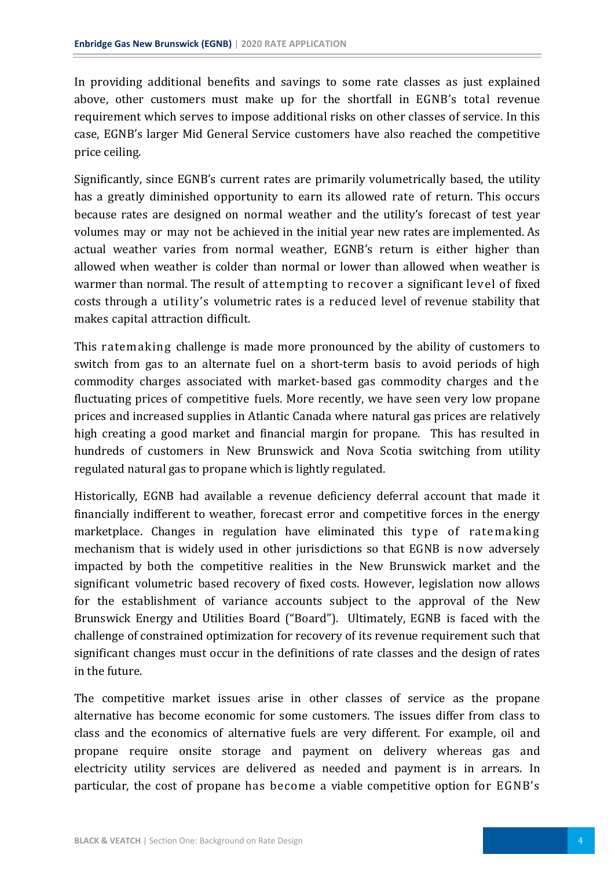In providing additional benefits and savings to some rate classes as just explained above, other customers must make up for the shortfall in EGNB's total revenue requirement which serves to impose additional risks on other classes of service. In this case, EGNB's larger Mid General Service customers have also reached the competitive price ceiling.

Significantly, since EGNB's current rates are primarily volumetrically based, the utility has a greatly diminished opportunity to earn its allowed rate of return. This occurs because rates are designed on normal weather and the utility's forecast of test year volumes may or may not be achieved in the initial year new rates are implemented. As actual weather varies from normal weather, EGNB's return is either higher than allowed when weather is colder than normal or lower than allowed when weather is warmer than normal. The result of attempting to recover a significant level of fixed costs through a utility's volumetric rates is a reduced level of revenue stability that makes capital attraction difficult.

This ratemaking challenge is made more pronounced by the ability of customers to switch from gas to an alternate fuel on a short-term basis to avoid periods of high commodity charges associated with market-based gas commodity charges and the fluctuating prices of competitive fuels. More recently, we have seen very low propane prices and increased supplies in Atlantic Canada where natural gas prices are relatively high creating a good market and financial margin for propane. This has resulted in hundreds of customers in New Brunswick and Nova Scotia switching from utility regulated natural gas to propane which is lightly regulated.

Historically, EGNB had available a revenue deficiency deferral account that made it financially indifferent to weather, forecast error and competitive forces in the energy marketplace. Changes in regulation have eliminated this type of ratemaking mechanism that is widely used in other jurisdictions so that EGNB is now adversely impacted by both the competitive realities in the New Brunswick market and the significant volumetric based recovery of fixed costs. However, legislation now allows for the establishment of variance accounts subject to the approval of the New Brunswick Energy and Utilities Board ("Board"). Ultimately, EGNB is faced with the challenge of constrained optimization for recovery of its revenue requirement such that significant changes must occur in the definitions of rate classes and the design of rates in the future.

The competitive market issues arise in other classes of service as the propane alternative has become economic for some customers. The issues differ from class to class and the economics of alternative fuels are very different. For example, oil and propane require onsite storage and payment on delivery whereas gas and electricity utility services are delivered as needed and payment is in arrears. In particular, the cost of propane has become a viable competitive option for EGNB's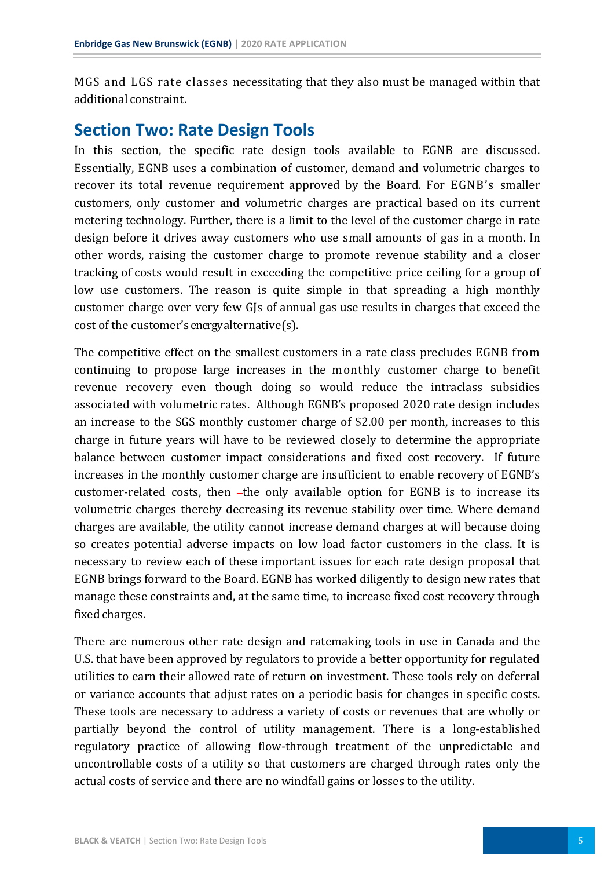MGS and LGS rate classes necessitating that they also must be managed within that additional constraint.

## <span id="page-9-0"></span>**Section Two: Rate Design Tools**

In this section, the specific rate design tools available to EGNB are discussed. Essentially, EGNB uses a combination of customer, demand and volumetric charges to recover its total revenue requirement approved by the Board. For EGNB's smaller customers, only customer and volumetric charges are practical based on its current metering technology. Further, there is a limit to the level of the customer charge in rate design before it drives away customers who use small amounts of gas in a month. In other words, raising the customer charge to promote revenue stability and a closer tracking of costs would result in exceeding the competitive price ceiling for a group of low use customers. The reason is quite simple in that spreading a high monthly customer charge over very few GJs of annual gas use results in charges that exceed the cost of the customer's energy alternative(s).

The competitive effect on the smallest customers in a rate class precludes EGNB from continuing to propose large increases in the monthly customer charge to benefit revenue recovery even though doing so would reduce the intraclass subsidies associated with volumetric rates. Although EGNB's proposed 2020 rate design includes an increase to the SGS monthly customer charge of \$2.00 per month, increases to this charge in future years will have to be reviewed closely to determine the appropriate balance between customer impact considerations and fixed cost recovery. If future increases in the monthly customer charge are insufficient to enable recovery of EGNB's customer-related costs, then -the only available option for EGNB is to increase its volumetric charges thereby decreasing its revenue stability over time. Where demand charges are available, the utility cannot increase demand charges at will because doing so creates potential adverse impacts on low load factor customers in the class. It is necessary to review each of these important issues for each rate design proposal that EGNB brings forward to the Board. EGNB has worked diligently to design new rates that manage these constraints and, at the same time, to increase fixed cost recovery through fixed charges.

There are numerous other rate design and ratemaking tools in use in Canada and the U.S. that have been approved by regulators to provide a better opportunity for regulated utilities to earn their allowed rate of return on investment. These tools rely on deferral or variance accounts that adjust rates on a periodic basis for changes in specific costs. These tools are necessary to address a variety of costs or revenues that are wholly or partially beyond the control of utility management. There is a long-established regulatory practice of allowing flow-through treatment of the unpredictable and uncontrollable costs of a utility so that customers are charged through rates only the actual costs of service and there are no windfall gains or losses to the utility.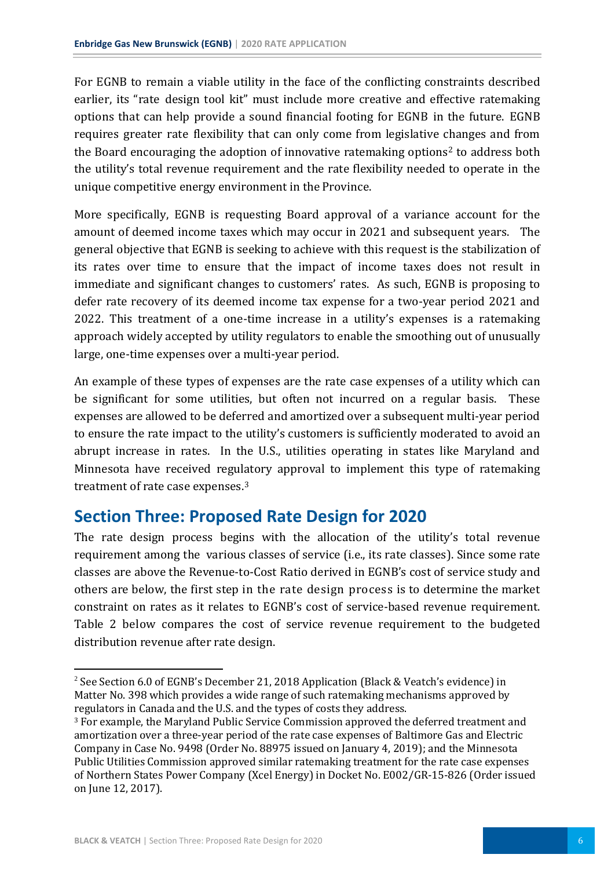For EGNB to remain a viable utility in the face of the conflicting constraints described earlier, its "rate design tool kit" must include more creative and effective ratemaking options that can help provide a sound financial footing for EGNB in the future. EGNB requires greater rate flexibility that can only come from legislative changes and from the Board encouraging the adoption of innovative ratemaking options<sup>[2](#page-10-1)</sup> to address both the utility's total revenue requirement and the rate flexibility needed to operate in the unique competitive energy environment in the Province.

More specifically, EGNB is requesting Board approval of a variance account for the amount of deemed income taxes which may occur in 2021 and subsequent years. The general objective that EGNB is seeking to achieve with this request is the stabilization of its rates over time to ensure that the impact of income taxes does not result in immediate and significant changes to customers' rates. As such, EGNB is proposing to defer rate recovery of its deemed income tax expense for a two-year period 2021 and 2022. This treatment of a one-time increase in a utility's expenses is a ratemaking approach widely accepted by utility regulators to enable the smoothing out of unusually large, one-time expenses over a multi-year period.

An example of these types of expenses are the rate case expenses of a utility which can be significant for some utilities, but often not incurred on a regular basis. These expenses are allowed to be deferred and amortized over a subsequent multi-year period to ensure the rate impact to the utility's customers is sufficiently moderated to avoid an abrupt increase in rates. In the U.S., utilities operating in states like Maryland and Minnesota have received regulatory approval to implement this type of ratemaking treatment of rate case expenses.[3](#page-10-2)

# <span id="page-10-0"></span>**Section Three: Proposed Rate Design for 2020**

The rate design process begins with the allocation of the utility's total revenue requirement among the various classes of service (i.e., its rate classes). Since some rate classes are above the Revenue-to-Cost Ratio derived in EGNB's cost of service study and others are below, the first step in the rate design process is to determine the market constraint on rates as it relates to EGNB's cost of service-based revenue requirement. Table 2 below compares the cost of service revenue requirement to the budgeted distribution revenue after rate design.

 $\overline{a}$ 

<span id="page-10-1"></span><sup>2</sup> See Section 6.0 of EGNB's December 21, 2018 Application (Black & Veatch's evidence) in Matter No. 398 which provides a wide range of such ratemaking mechanisms approved by regulators in Canada and the U.S. and the types of costs they address.

<span id="page-10-2"></span><sup>3</sup> For example, the Maryland Public Service Commission approved the deferred treatment and amortization over a three-year period of the rate case expenses of Baltimore Gas and Electric Company in Case No. 9498 (Order No. 88975 issued on January 4, 2019); and the Minnesota Public Utilities Commission approved similar ratemaking treatment for the rate case expenses of Northern States Power Company (Xcel Energy) in Docket No. E002/GR-15-826 (Order issued on June 12, 2017).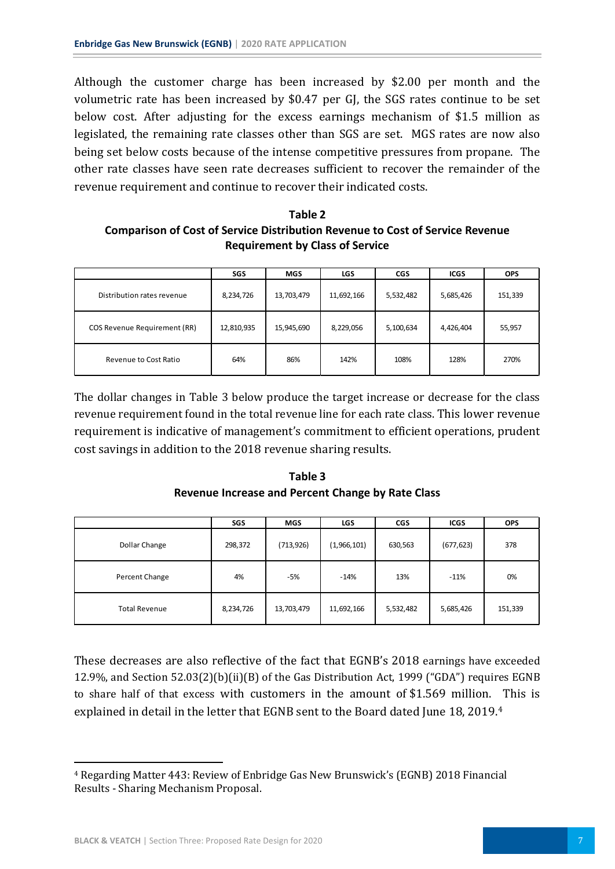Although the customer charge has been increased by \$2.00 per month and the volumetric rate has been increased by \$0.47 per GJ, the SGS rates continue to be set below cost. After adjusting for the excess earnings mechanism of \$1.5 million as legislated, the remaining rate classes other than SGS are set. MGS rates are now also being set below costs because of the intense competitive pressures from propane. The other rate classes have seen rate decreases sufficient to recover the remainder of the revenue requirement and continue to recover their indicated costs.

#### **Table 2 Comparison of Cost of Service Distribution Revenue to Cost of Service Revenue Requirement by Class of Service**

|                                     | SGS        | <b>MGS</b> | <b>LGS</b> | <b>CGS</b> | <b>ICGS</b> | <b>OPS</b> |
|-------------------------------------|------------|------------|------------|------------|-------------|------------|
| Distribution rates revenue          | 8,234,726  | 13,703,479 | 11,692,166 | 5,532,482  | 5,685,426   | 151,339    |
| <b>COS Revenue Requirement (RR)</b> | 12,810,935 | 15,945,690 | 8,229,056  | 5,100,634  | 4,426,404   | 55,957     |
| Revenue to Cost Ratio               | 64%        | 86%        | 142%       | 108%       | 128%        | 270%       |

The dollar changes in Table 3 below produce the target increase or decrease for the class revenue requirement found in the total revenue line for each rate class. This lower revenue requirement is indicative of management's commitment to efficient operations, prudent cost savings in addition to the 2018 revenue sharing results.

**Table 3 Revenue Increase and Percent Change by Rate Class**

|                      | SGS       | <b>MGS</b> | <b>LGS</b>  | <b>CGS</b> | <b>ICGS</b> | <b>OPS</b> |
|----------------------|-----------|------------|-------------|------------|-------------|------------|
| Dollar Change        | 298,372   | (713, 926) | (1,966,101) | 630,563    | (677, 623)  | 378        |
| Percent Change       | 4%        | $-5%$      | $-14%$      | 13%        | $-11%$      | 0%         |
| <b>Total Revenue</b> | 8,234,726 | 13,703,479 | 11,692,166  | 5,532,482  | 5,685,426   | 151,339    |

These decreases are also reflective of the fact that EGNB's 2018 earnings have exceeded 12.9%, and Section 52.03(2)(b)(ii)(B) of the Gas Distribution Act, 1999 ("GDA") requires EGNB to share half of that excess with customers in the amount of \$1.569 million. This is explained in detail in the letter that EGNB sent to the Board dated June 18, 2019.[4](#page-11-0)

<span id="page-11-0"></span><sup>1</sup> <sup>4</sup> Regarding Matter 443: Review of Enbridge Gas New Brunswick's (EGNB) 2018 Financial Results - Sharing Mechanism Proposal.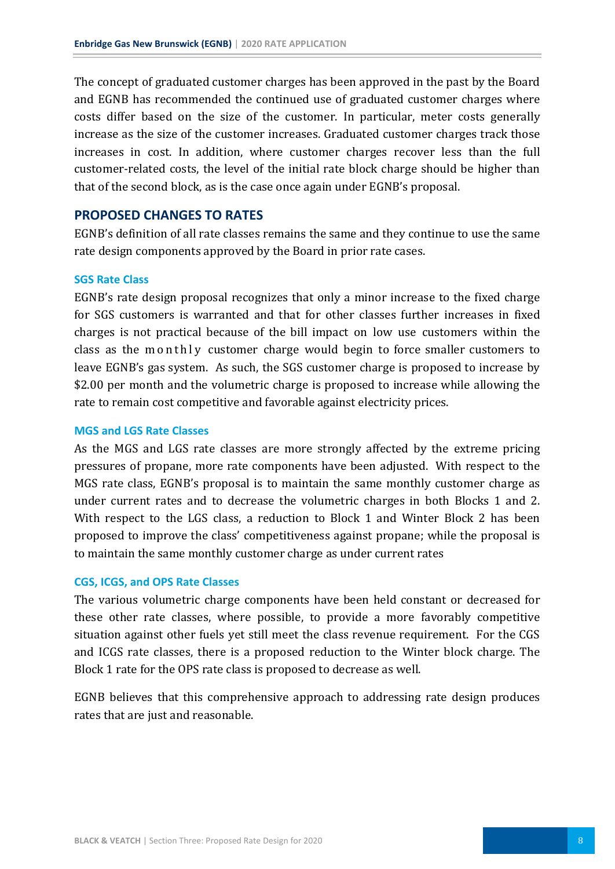The concept of graduated customer charges has been approved in the past by the Board and EGNB has recommended the continued use of graduated customer charges where costs differ based on the size of the customer. In particular, meter costs generally increase as the size of the customer increases. Graduated customer charges track those increases in cost. In addition, where customer charges recover less than the full customer-related costs, the level of the initial rate block charge should be higher than that of the second block, as is the case once again under EGNB's proposal.

#### <span id="page-12-0"></span>**PROPOSED CHANGES TO RATES**

EGNB's definition of all rate classes remains the same and they continue to use the same rate design components approved by the Board in prior rate cases.

#### <span id="page-12-1"></span>**SGS Rate Class**

EGNB's rate design proposal recognizes that only a minor increase to the fixed charge for SGS customers is warranted and that for other classes further increases in fixed charges is not practical because of the bill impact on low use customers within the class as the monthly customer charge would begin to force smaller customers to leave EGNB's gas system. As such, the SGS customer charge is proposed to increase by \$2.00 per month and the volumetric charge is proposed to increase while allowing the rate to remain cost competitive and favorable against electricity prices.

#### <span id="page-12-2"></span>**MGS and LGS Rate Classes**

As the MGS and LGS rate classes are more strongly affected by the extreme pricing pressures of propane, more rate components have been adjusted. With respect to the MGS rate class, EGNB's proposal is to maintain the same monthly customer charge as under current rates and to decrease the volumetric charges in both Blocks 1 and 2. With respect to the LGS class, a reduction to Block 1 and Winter Block 2 has been proposed to improve the class' competitiveness against propane; while the proposal is to maintain the same monthly customer charge as under current rates

#### <span id="page-12-3"></span>**CGS, ICGS, and OPS Rate Classes**

The various volumetric charge components have been held constant or decreased for these other rate classes, where possible, to provide a more favorably competitive situation against other fuels yet still meet the class revenue requirement. For the CGS and ICGS rate classes, there is a proposed reduction to the Winter block charge. The Block 1 rate for the OPS rate class is proposed to decrease as well.

EGNB believes that this comprehensive approach to addressing rate design produces rates that are just and reasonable.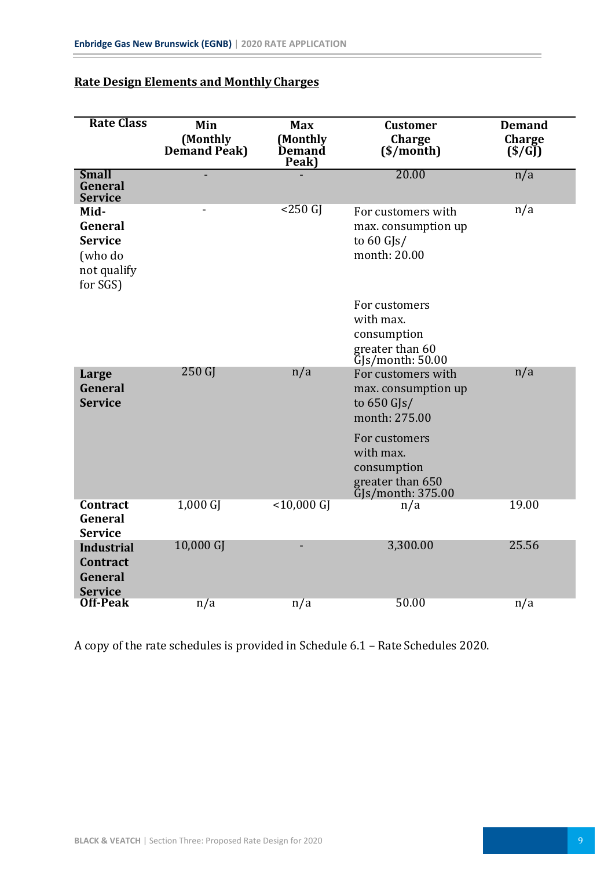| <b>Rate Class</b>                                                       | Min<br>(Monthly<br>Demand Peak) | <b>Max</b><br>(Monthly<br>Demand<br>Peak) | <b>Customer</b><br><b>Charge</b><br>(\$/month)                                             | <b>Demand</b><br>Charge<br>(S/GJ) |
|-------------------------------------------------------------------------|---------------------------------|-------------------------------------------|--------------------------------------------------------------------------------------------|-----------------------------------|
| <b>Small</b><br>General<br><b>Service</b>                               |                                 |                                           | 20.00                                                                                      | n/a                               |
| Mid-<br>General<br><b>Service</b><br>(who do<br>not qualify<br>for SGS) | -                               | $<$ 250 $G$                               | For customers with<br>max. consumption up<br>to $60$ GJs/<br>month: 20.00                  | n/a                               |
|                                                                         |                                 |                                           | For customers<br>with max.<br>consumption<br>greater than 60<br>GJs/month: 50.00           |                                   |
| Large<br>General<br><b>Service</b>                                      | 250 GJ                          | n/a                                       | For customers with<br>max. consumption up<br>to 650 GJs/<br>month: 275.00                  | n/a                               |
|                                                                         |                                 |                                           | For customers<br>with max.<br>consumption<br>greater than 650<br>$\bar{G}$ S/month: 375.00 |                                   |
| <b>Contract</b><br>General<br><b>Service</b>                            | $1,000$ GJ                      | $<$ 10,000 GJ                             | n/a                                                                                        | 19.00                             |
| <b>Industrial</b><br><b>Contract</b><br>General<br><b>Service</b>       | 10,000 GJ                       |                                           | 3,300.00                                                                                   | 25.56                             |
| <b>Off-Peak</b>                                                         | $\overline{n}/a$                | $\overline{n}/a$                          | 50.00                                                                                      | $\overline{n}/a$                  |

### **Rate Design Elements and Monthly Charges**

A copy of the rate schedules is provided in Schedule 6.1 – Rate Schedules 2020.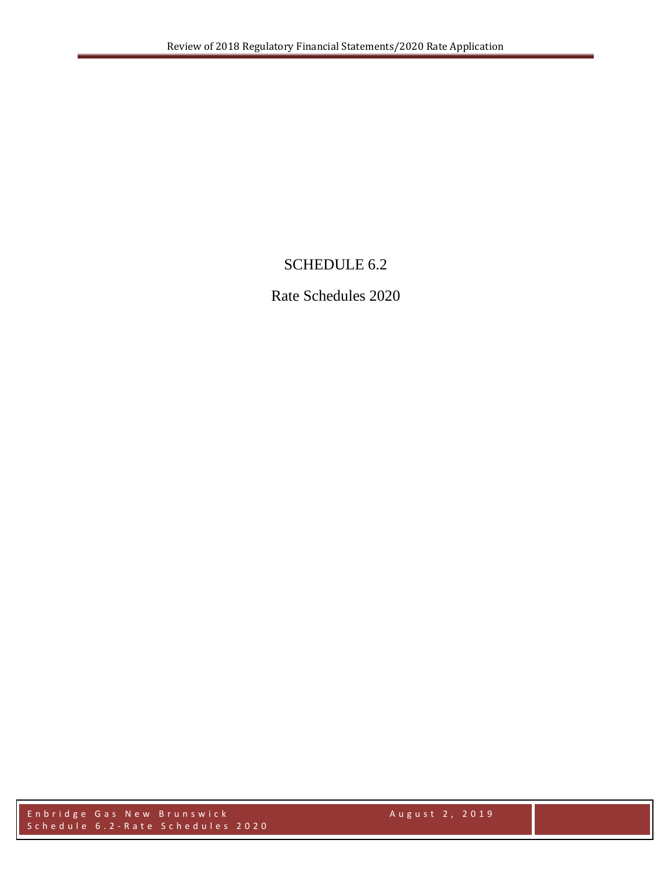## SCHEDULE 6.2

Rate Schedules 2020

Enbridge Gas New Brunswick August 2, 2019 Schedule 6.2 - Rate Schedules 2020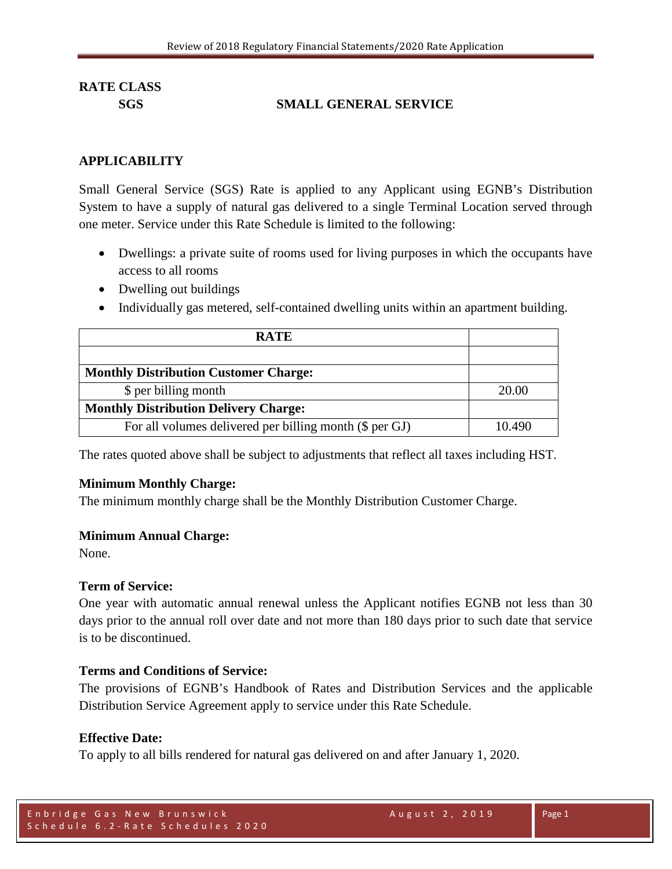### **SGS SMALL GENERAL SERVICE**

#### **APPLICABILITY**

Small General Service (SGS) Rate is applied to any Applicant using EGNB's Distribution System to have a supply of natural gas delivered to a single Terminal Location served through one meter. Service under this Rate Schedule is limited to the following:

- Dwellings: a private suite of rooms used for living purposes in which the occupants have access to all rooms
- Dwelling out buildings
- Individually gas metered, self-contained dwelling units within an apartment building.

| <b>RATE</b>                                             |        |
|---------------------------------------------------------|--------|
|                                                         |        |
| <b>Monthly Distribution Customer Charge:</b>            |        |
| \$ per billing month                                    | 20.00  |
| <b>Monthly Distribution Delivery Charge:</b>            |        |
| For all volumes delivered per billing month (\$ per GJ) | 10.490 |

The rates quoted above shall be subject to adjustments that reflect all taxes including HST.

### **Minimum Monthly Charge:**

The minimum monthly charge shall be the Monthly Distribution Customer Charge.

#### **Minimum Annual Charge:**

None.

#### **Term of Service:**

One year with automatic annual renewal unless the Applicant notifies EGNB not less than 30 days prior to the annual roll over date and not more than 180 days prior to such date that service is to be discontinued.

#### **Terms and Conditions of Service:**

The provisions of EGNB's Handbook of Rates and Distribution Services and the applicable Distribution Service Agreement apply to service under this Rate Schedule.

#### **Effective Date:**

To apply to all bills rendered for natural gas delivered on and after January 1, 2020.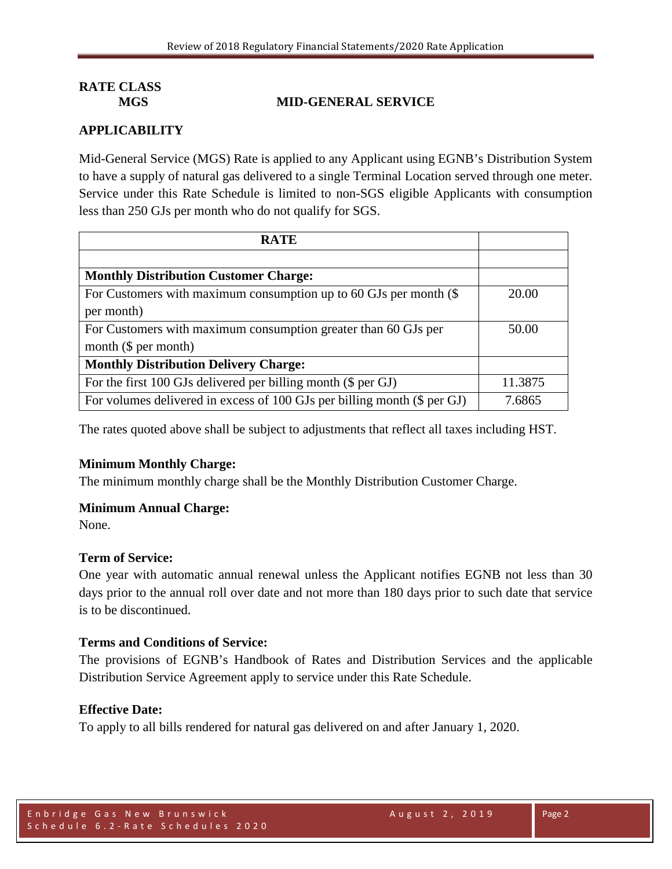#### **MGS MID-GENERAL SERVICE**

### **APPLICABILITY**

Mid-General Service (MGS) Rate is applied to any Applicant using EGNB's Distribution System to have a supply of natural gas delivered to a single Terminal Location served through one meter. Service under this Rate Schedule is limited to non-SGS eligible Applicants with consumption less than 250 GJs per month who do not qualify for SGS.

| <b>RATE</b>                                                              |         |
|--------------------------------------------------------------------------|---------|
|                                                                          |         |
| <b>Monthly Distribution Customer Charge:</b>                             |         |
| For Customers with maximum consumption up to 60 GJs per month $(\$$      | 20.00   |
| per month)                                                               |         |
| For Customers with maximum consumption greater than 60 GJs per           | 50.00   |
| month $(\$$ per month)                                                   |         |
| <b>Monthly Distribution Delivery Charge:</b>                             |         |
| For the first 100 GJs delivered per billing month (\$ per GJ)            | 11.3875 |
| For volumes delivered in excess of 100 GJs per billing month (\$ per GJ) | 7.6865  |

The rates quoted above shall be subject to adjustments that reflect all taxes including HST.

#### **Minimum Monthly Charge:**

The minimum monthly charge shall be the Monthly Distribution Customer Charge.

#### **Minimum Annual Charge:**

None.

#### **Term of Service:**

One year with automatic annual renewal unless the Applicant notifies EGNB not less than 30 days prior to the annual roll over date and not more than 180 days prior to such date that service is to be discontinued.

#### **Terms and Conditions of Service:**

The provisions of EGNB's Handbook of Rates and Distribution Services and the applicable Distribution Service Agreement apply to service under this Rate Schedule.

#### **Effective Date:**

To apply to all bills rendered for natural gas delivered on and after January 1, 2020.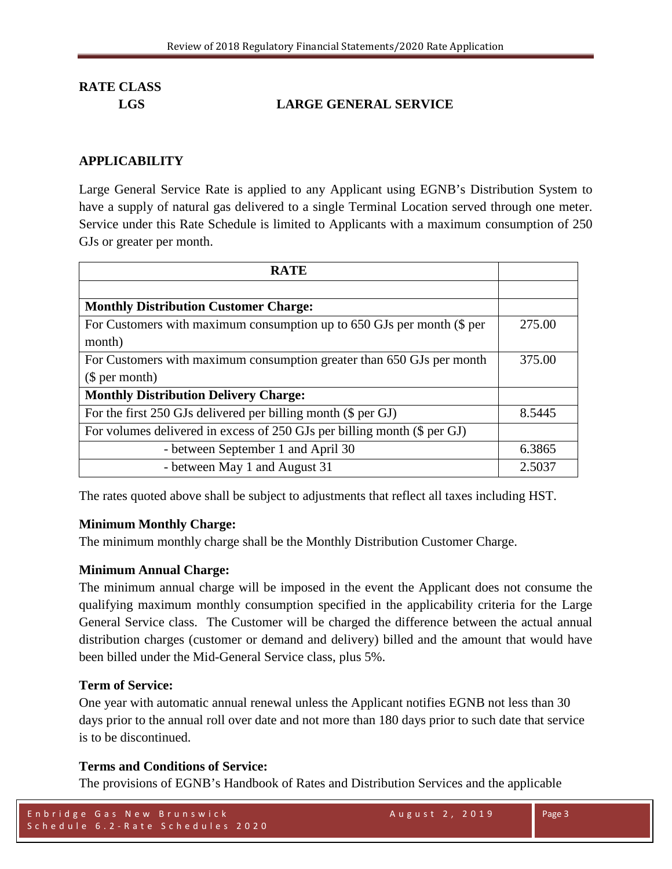### **LGS LARGE GENERAL SERVICE**

#### **APPLICABILITY**

Large General Service Rate is applied to any Applicant using EGNB's Distribution System to have a supply of natural gas delivered to a single Terminal Location served through one meter. Service under this Rate Schedule is limited to Applicants with a maximum consumption of 250 GJs or greater per month.

| <b>RATE</b>                                                              |        |
|--------------------------------------------------------------------------|--------|
|                                                                          |        |
| <b>Monthly Distribution Customer Charge:</b>                             |        |
| For Customers with maximum consumption up to 650 GJs per month (\$ per   | 275.00 |
| month)                                                                   |        |
| For Customers with maximum consumption greater than 650 GJs per month    | 375.00 |
| \$per month)                                                             |        |
| <b>Monthly Distribution Delivery Charge:</b>                             |        |
| For the first 250 GJs delivered per billing month (\$ per GJ)            | 8.5445 |
| For volumes delivered in excess of 250 GJs per billing month (\$ per GJ) |        |
| - between September 1 and April 30                                       | 6.3865 |
| - between May 1 and August 31                                            | 2.5037 |

The rates quoted above shall be subject to adjustments that reflect all taxes including HST.

#### **Minimum Monthly Charge:**

The minimum monthly charge shall be the Monthly Distribution Customer Charge.

#### **Minimum Annual Charge:**

The minimum annual charge will be imposed in the event the Applicant does not consume the qualifying maximum monthly consumption specified in the applicability criteria for the Large General Service class. The Customer will be charged the difference between the actual annual distribution charges (customer or demand and delivery) billed and the amount that would have been billed under the Mid-General Service class, plus 5%.

#### **Term of Service:**

One year with automatic annual renewal unless the Applicant notifies EGNB not less than 30 days prior to the annual roll over date and not more than 180 days prior to such date that service is to be discontinued.

### **Terms and Conditions of Service:**

The provisions of EGNB's Handbook of Rates and Distribution Services and the applicable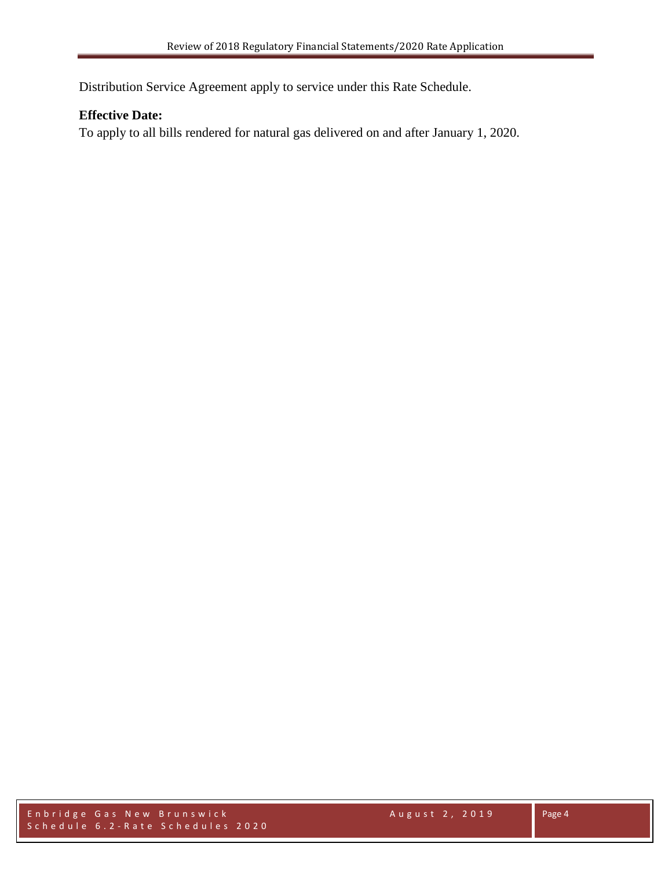Distribution Service Agreement apply to service under this Rate Schedule.

#### **Effective Date:**

To apply to all bills rendered for natural gas delivered on and after January 1, 2020.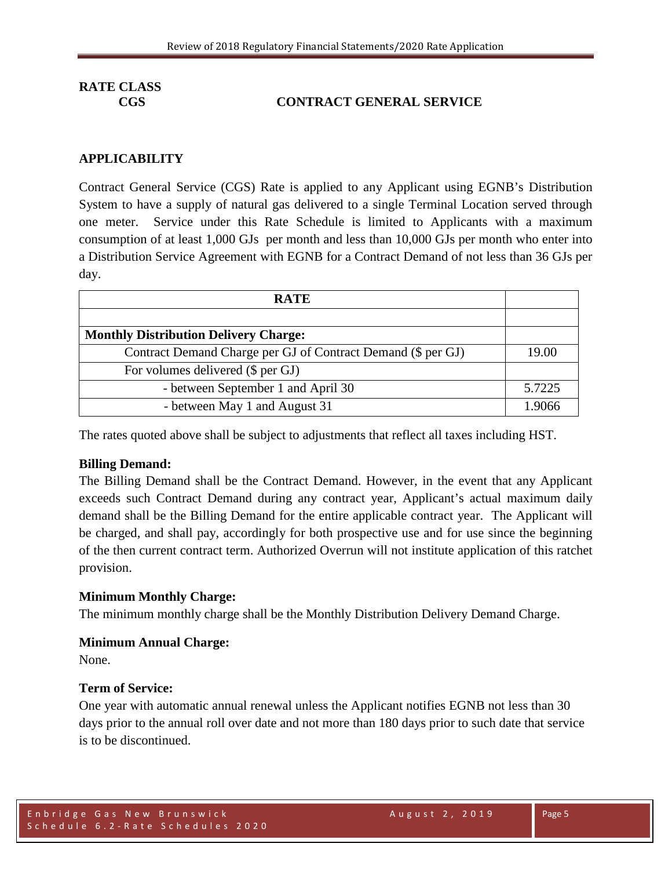### **CGS CONTRACT GENERAL SERVICE**

#### **APPLICABILITY**

Contract General Service (CGS) Rate is applied to any Applicant using EGNB's Distribution System to have a supply of natural gas delivered to a single Terminal Location served through one meter. Service under this Rate Schedule is limited to Applicants with a maximum consumption of at least 1,000 GJs per month and less than 10,000 GJs per month who enter into a Distribution Service Agreement with EGNB for a Contract Demand of not less than 36 GJs per day.

| <b>RATE</b>                                                  |        |
|--------------------------------------------------------------|--------|
|                                                              |        |
| <b>Monthly Distribution Delivery Charge:</b>                 |        |
| Contract Demand Charge per GJ of Contract Demand (\$ per GJ) | 19.00  |
| For volumes delivered (\$ per GJ)                            |        |
| - between September 1 and April 30                           | 5.7225 |
| - between May 1 and August 31                                | 1.9066 |

The rates quoted above shall be subject to adjustments that reflect all taxes including HST.

#### **Billing Demand:**

The Billing Demand shall be the Contract Demand. However, in the event that any Applicant exceeds such Contract Demand during any contract year, Applicant's actual maximum daily demand shall be the Billing Demand for the entire applicable contract year. The Applicant will be charged, and shall pay, accordingly for both prospective use and for use since the beginning of the then current contract term. Authorized Overrun will not institute application of this ratchet provision.

#### **Minimum Monthly Charge:**

The minimum monthly charge shall be the Monthly Distribution Delivery Demand Charge.

#### **Minimum Annual Charge:**

None.

#### **Term of Service:**

One year with automatic annual renewal unless the Applicant notifies EGNB not less than 30 days prior to the annual roll over date and not more than 180 days prior to such date that service is to be discontinued.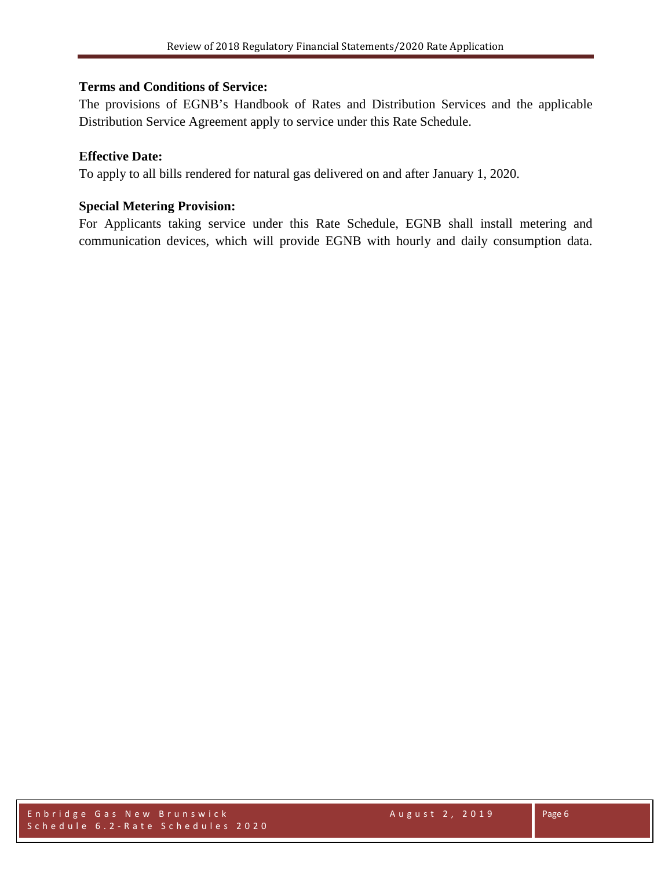#### **Terms and Conditions of Service:**

The provisions of EGNB's Handbook of Rates and Distribution Services and the applicable Distribution Service Agreement apply to service under this Rate Schedule.

#### **Effective Date:**

To apply to all bills rendered for natural gas delivered on and after January 1, 2020.

#### **Special Metering Provision:**

For Applicants taking service under this Rate Schedule, EGNB shall install metering and communication devices, which will provide EGNB with hourly and daily consumption data.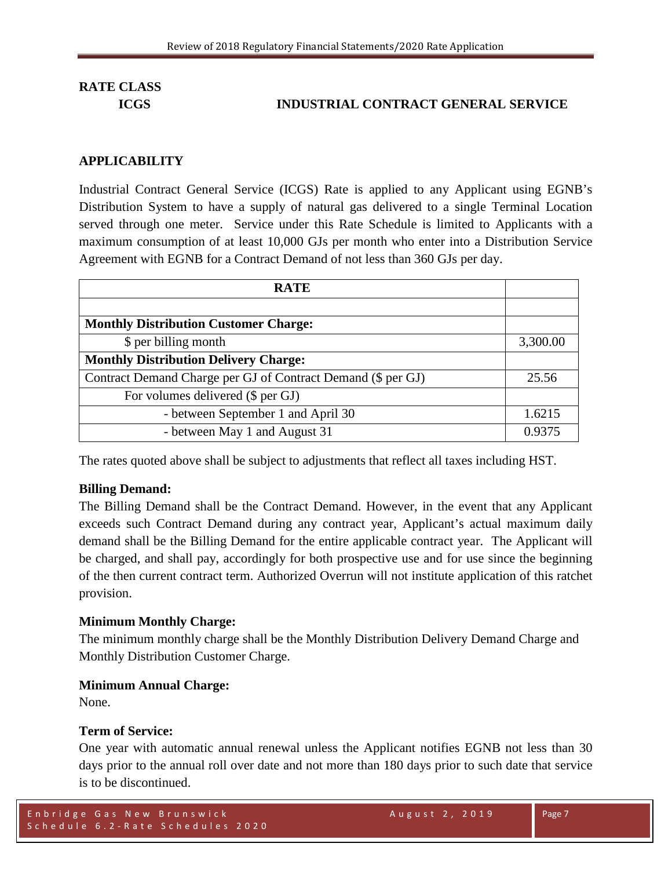#### **ICGS INDUSTRIAL CONTRACT GENERAL SERVICE**

#### **APPLICABILITY**

Industrial Contract General Service (ICGS) Rate is applied to any Applicant using EGNB's Distribution System to have a supply of natural gas delivered to a single Terminal Location served through one meter. Service under this Rate Schedule is limited to Applicants with a maximum consumption of at least 10,000 GJs per month who enter into a Distribution Service Agreement with EGNB for a Contract Demand of not less than 360 GJs per day.

| <b>RATE</b>                                                  |          |
|--------------------------------------------------------------|----------|
|                                                              |          |
| <b>Monthly Distribution Customer Charge:</b>                 |          |
| \$ per billing month                                         | 3,300.00 |
| <b>Monthly Distribution Delivery Charge:</b>                 |          |
| Contract Demand Charge per GJ of Contract Demand (\$ per GJ) | 25.56    |
| For volumes delivered (\$ per GJ)                            |          |
| - between September 1 and April 30                           | 1.6215   |
| - between May 1 and August 31                                | 0.9375   |

The rates quoted above shall be subject to adjustments that reflect all taxes including HST.

#### **Billing Demand:**

The Billing Demand shall be the Contract Demand. However, in the event that any Applicant exceeds such Contract Demand during any contract year, Applicant's actual maximum daily demand shall be the Billing Demand for the entire applicable contract year. The Applicant will be charged, and shall pay, accordingly for both prospective use and for use since the beginning of the then current contract term. Authorized Overrun will not institute application of this ratchet provision.

#### **Minimum Monthly Charge:**

The minimum monthly charge shall be the Monthly Distribution Delivery Demand Charge and Monthly Distribution Customer Charge.

#### **Minimum Annual Charge:**

None.

#### **Term of Service:**

One year with automatic annual renewal unless the Applicant notifies EGNB not less than 30 days prior to the annual roll over date and not more than 180 days prior to such date that service is to be discontinued.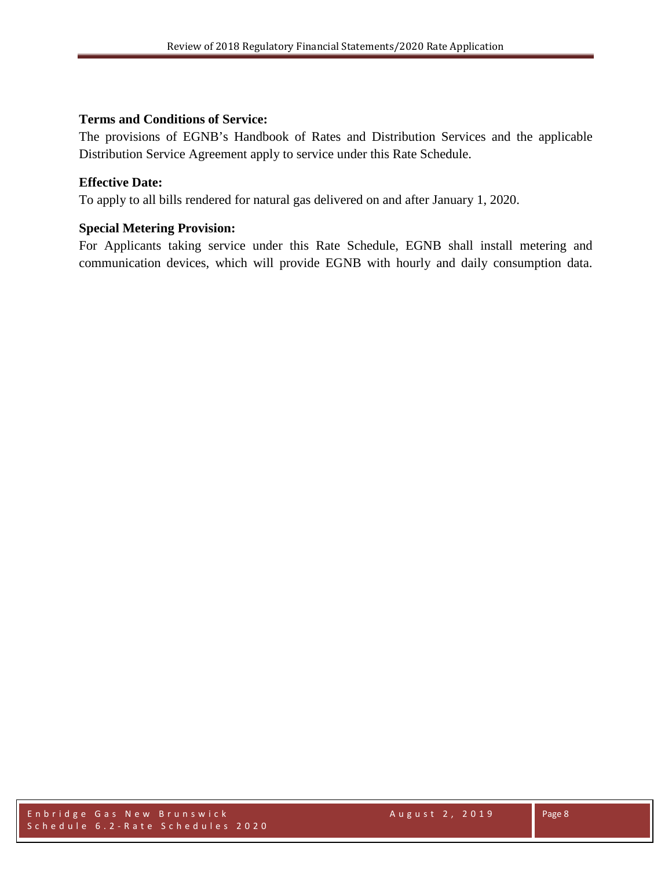#### **Terms and Conditions of Service:**

The provisions of EGNB's Handbook of Rates and Distribution Services and the applicable Distribution Service Agreement apply to service under this Rate Schedule.

#### **Effective Date:**

To apply to all bills rendered for natural gas delivered on and after January 1, 2020.

### **Special Metering Provision:**

For Applicants taking service under this Rate Schedule, EGNB shall install metering and communication devices, which will provide EGNB with hourly and daily consumption data.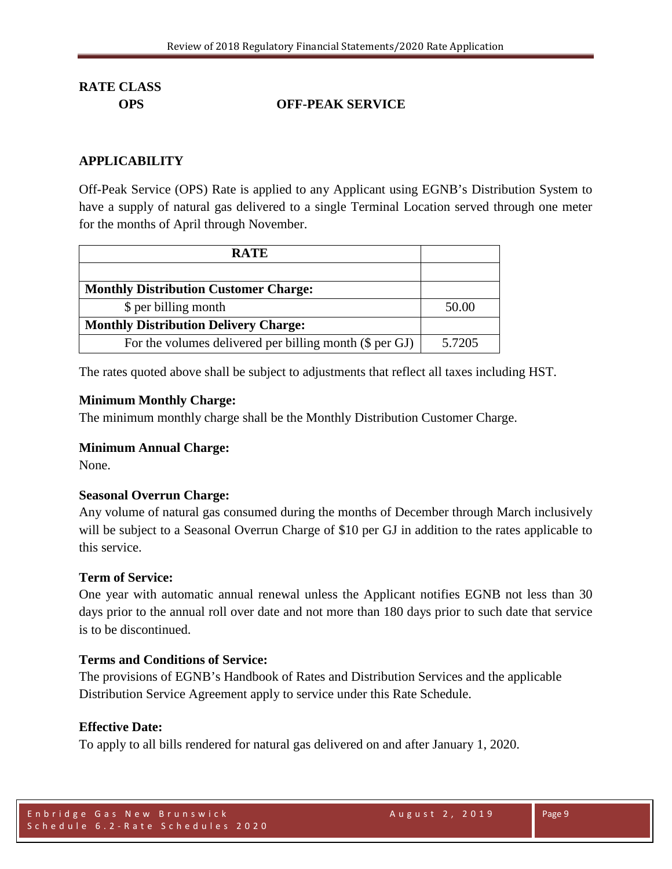### **OPS OFF-PEAK SERVICE**

#### **APPLICABILITY**

Off-Peak Service (OPS) Rate is applied to any Applicant using EGNB's Distribution System to have a supply of natural gas delivered to a single Terminal Location served through one meter for the months of April through November.

| <b>RATE</b>                                             |        |
|---------------------------------------------------------|--------|
|                                                         |        |
| <b>Monthly Distribution Customer Charge:</b>            |        |
| \$ per billing month                                    | 50.00  |
| <b>Monthly Distribution Delivery Charge:</b>            |        |
| For the volumes delivered per billing month (\$ per GJ) | 5.7205 |

The rates quoted above shall be subject to adjustments that reflect all taxes including HST.

#### **Minimum Monthly Charge:**

The minimum monthly charge shall be the Monthly Distribution Customer Charge.

#### **Minimum Annual Charge:**

None.

#### **Seasonal Overrun Charge:**

Any volume of natural gas consumed during the months of December through March inclusively will be subject to a Seasonal Overrun Charge of \$10 per GJ in addition to the rates applicable to this service.

#### **Term of Service:**

One year with automatic annual renewal unless the Applicant notifies EGNB not less than 30 days prior to the annual roll over date and not more than 180 days prior to such date that service is to be discontinued.

#### **Terms and Conditions of Service:**

The provisions of EGNB's Handbook of Rates and Distribution Services and the applicable Distribution Service Agreement apply to service under this Rate Schedule.

#### **Effective Date:**

To apply to all bills rendered for natural gas delivered on and after January 1, 2020.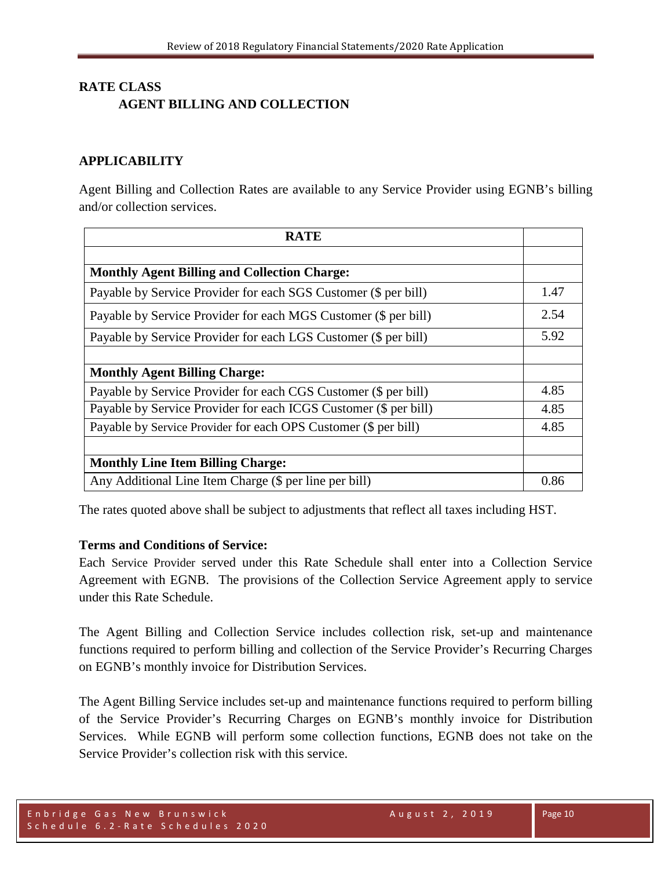## **RATE CLASS AGENT BILLING AND COLLECTION**

#### **APPLICABILITY**

Agent Billing and Collection Rates are available to any Service Provider using EGNB's billing and/or collection services.

| <b>RATE</b>                                                      |      |
|------------------------------------------------------------------|------|
|                                                                  |      |
| <b>Monthly Agent Billing and Collection Charge:</b>              |      |
| Payable by Service Provider for each SGS Customer (\$ per bill)  | 1.47 |
| Payable by Service Provider for each MGS Customer (\$ per bill)  | 2.54 |
| Payable by Service Provider for each LGS Customer (\$ per bill)  | 5.92 |
|                                                                  |      |
| <b>Monthly Agent Billing Charge:</b>                             |      |
| Payable by Service Provider for each CGS Customer (\$ per bill)  | 4.85 |
| Payable by Service Provider for each ICGS Customer (\$ per bill) | 4.85 |
| Payable by Service Provider for each OPS Customer (\$ per bill)  | 4.85 |
|                                                                  |      |
| <b>Monthly Line Item Billing Charge:</b>                         |      |
| Any Additional Line Item Charge (\$ per line per bill)           | 0.86 |

The rates quoted above shall be subject to adjustments that reflect all taxes including HST.

#### **Terms and Conditions of Service:**

Each Service Provider served under this Rate Schedule shall enter into a Collection Service Agreement with EGNB. The provisions of the Collection Service Agreement apply to service under this Rate Schedule.

The Agent Billing and Collection Service includes collection risk, set-up and maintenance functions required to perform billing and collection of the Service Provider's Recurring Charges on EGNB's monthly invoice for Distribution Services.

The Agent Billing Service includes set-up and maintenance functions required to perform billing of the Service Provider's Recurring Charges on EGNB's monthly invoice for Distribution Services. While EGNB will perform some collection functions, EGNB does not take on the Service Provider's collection risk with this service.